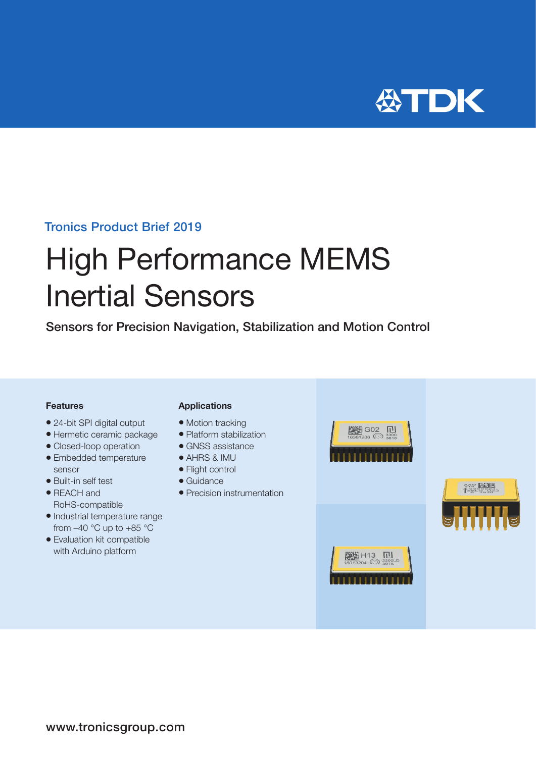

### Tronics Product Brief 2019

# High Performance MEMS Inertial Sensors

Sensors for Precision Navigation, Stabilization and Motion Control

#### Features

- 24-bit SPI digital output
- Hermetic ceramic package
- Closed-loop operation
- Embedded temperature sensor
- Built-in self test
- REACH and RoHS-compatible
- Industrial temperature range from  $-40$  °C up to  $+85$  °C
- Evaluation kit compatible with Arduino platform

#### Applications

- Motion tracking
- Platform stabilization
- GNSS assistance
- **AHRS & IMU**
- Flight control
- $\bullet$  Guidance
- Precision instrumentation



第2章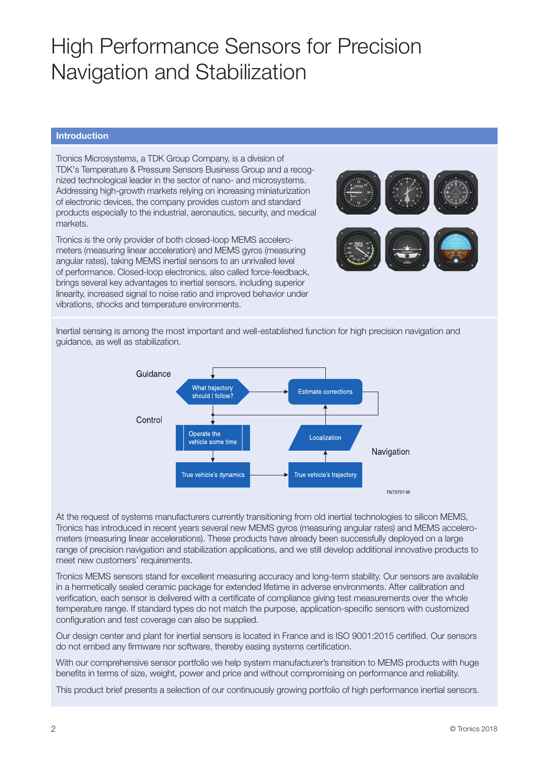## High Performance Sensors for Precision Navigation and Stabilization

### Introduction

Tronics Microsystems, a TDK Group Company, is a division of TDK's Temperature & Pressure Sensors Business Group and a recognized technological leader in the sector of nano- and microsystems. Addressing high-growth markets relying on increasing miniaturization of electronic devices, the company provides custom and standard products especially to the industrial, aeronautics, security, and medical markets.

Tronics is the only provider of both closed-loop MEMS accelerometers (measuring linear acceleration) and MEMS gyros (measuring angular rates), taking MEMS inertial sensors to an unrivalled level of performance. Closed-loop electronics, also called force-feedback, brings several key advantages to inertial sensors, including superior linearity, increased signal to noise ratio and improved behavior under vibrations, shocks and temperature environments.



Inertial sensing is among the most important and well-established function for high precision navigation and guidance, as well as stabilization.



At the request of systems manufacturers currently transitioning from old inertial technologies to silicon MEMS, Tronics has introduced in recent years several new MEMS gyros (measuring angular rates) and MEMS accelerometers (measuring linear accelerations). These products have already been successfully deployed on a large range of precision navigation and stabilization applications, and we still develop additional innovative products to meet new customers' requirements.

Tronics MEMS sensors stand for excellent measuring accuracy and long-term stability. Our sensors are available in a hermetically sealed ceramic package for extended lifetime in adverse environments. After calibration and verification, each sensor is delivered with a certificate of compliance giving test measurements over the whole temperature range. If standard types do not match the purpose, application-specific sensors with customized configuration and test coverage can also be supplied.

Our design center and plant for inertial sensors is located in France and is ISO 9001:2015 certified. Our sensors do not embed any firmware nor software, thereby easing systems certification.

With our comprehensive sensor portfolio we help system manufacturer's transition to MEMS products with huge benefits in terms of size, weight, power and price and without compromising on performance and reliability.

This product brief presents a selection of our continuously growing portfolio of high performance inertial sensors.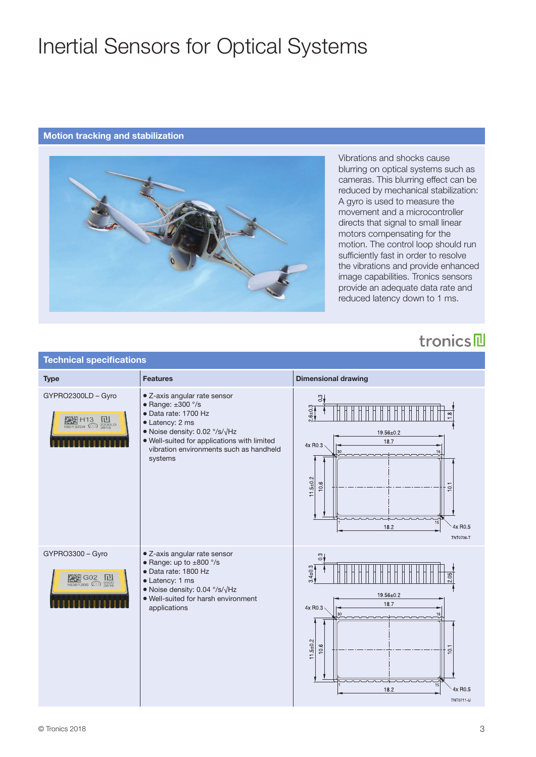## Inertial Sensors for Optical Systems

#### Motion tracking and stabilization



Vibrations and shocks cause blurring on optical systems such as cameras. This blurring effect can be reduced by mechanical stabilization: A gyro is used to measure the movement and a microcontroller directs that signal to small linear motors compensating for the motion. The control loop should run sufficiently fast in order to resolve the vibrations and provide enhanced image capabilities. Tronics sensors provide an adequate data rate and reduced latency down to 1 ms.

## tronics

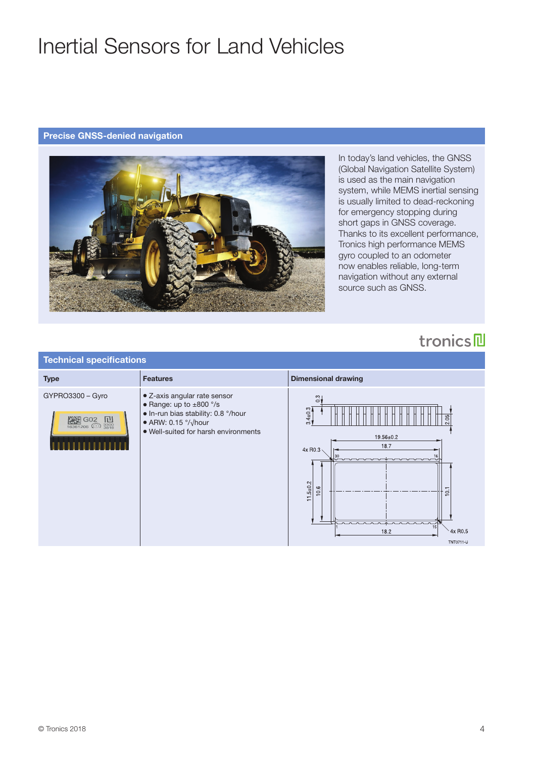## Inertial Sensors for Land Vehicles

### Precise GNSS-denied navigation



In today's land vehicles, the GNSS (Global Navigation Satellite System) is used as the main navigation system, while MEMS inertial sensing is usually limited to dead-reckoning for emergency stopping during short gaps in GNSS coverage. Thanks to its excellent performance, Tronics high performance MEMS gyro coupled to an odometer now enables reliable, long-term navigation without any external source such as GNSS.

## tronics

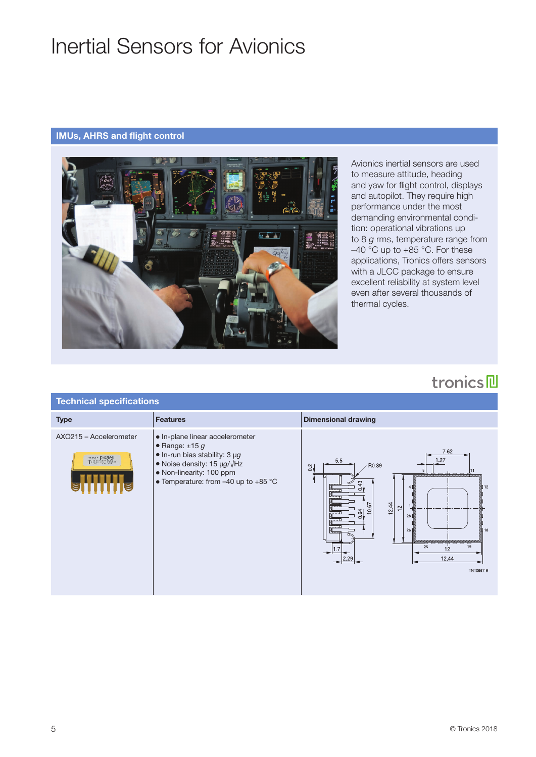## Inertial Sensors for Avionics

### IMUs, AHRS and flight control



Avionics inertial sensors are used to measure attitude, heading and yaw for flight control, displays and autopilot. They require high performance under the most demanding environmental condition: operational vibrations up to 8 *g* rms, temperature range from  $-40$  °C up to  $+85$  °C. For these applications, Tronics offers sensors with a JLCC package to ensure excellent reliability at system level even after several thousands of thermal cycles.

## tronics